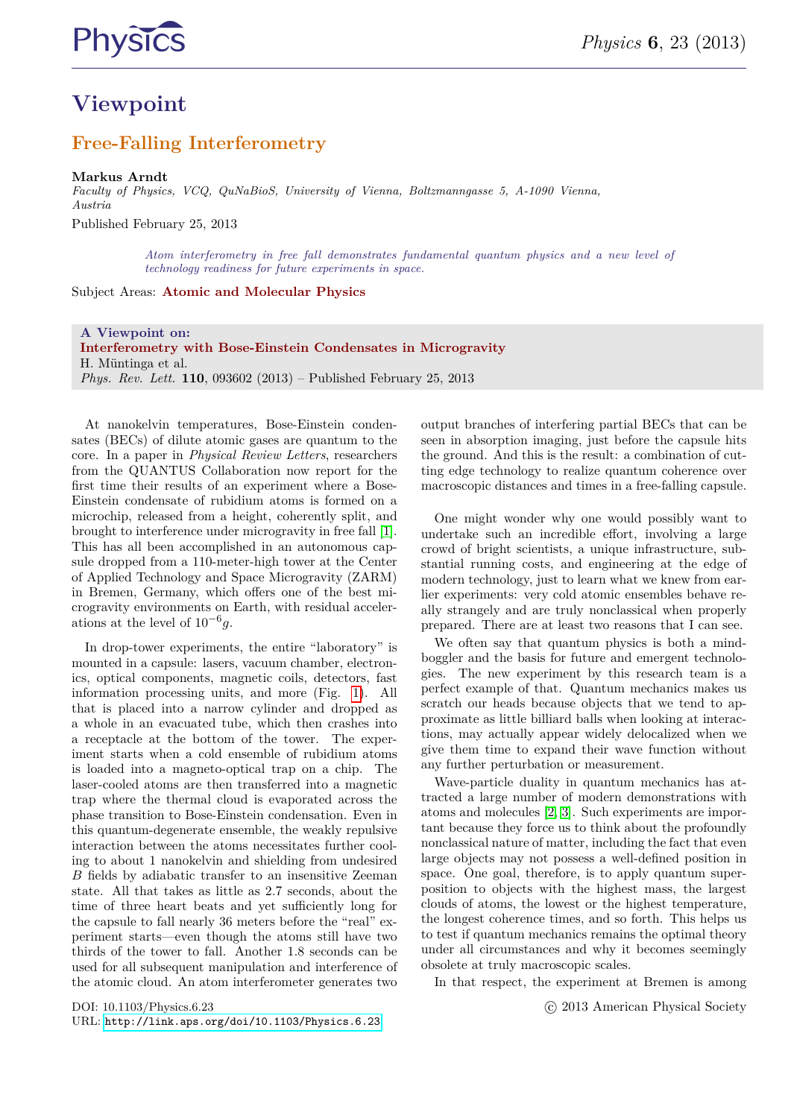

# **Viewpoint**

## **Free-Falling Interferometry**

#### **Markus Arndt**

*Faculty of Physics, VCQ, QuNaBioS, University of Vienna, Boltzmanngasse 5, A-1090 Vienna, Austria*

Published February 25, 2013

*Atom interferometry in free fall demonstrates fundamental quantum physics and a new level of technology readiness for future experiments in space.*

Subject Areas: **Atomic and Molecular Physics**

**A Viewpoint on: Interferometry with Bose-Einstein Condensates in Microgravity** H. Müntinga et al. *Phys. Rev. Lett.* **110**, 093602 (2013) – Published February 25, 2013

At nanokelvin temperatures, Bose-Einstein condensates (BECs) of dilute atomic gases are quantum to the core. In a paper in *Physical Review Letters*, researchers from the QUANTUS Collaboration now report for the first time their results of an experiment where a Bose-Einstein condensate of rubidium atoms is formed on a microchip, released from a height, coherently split, and brought to interference under microgravity in free fall [\[1\]](#page-2-0). This has all been accomplished in an autonomous capsule dropped from a 110-meter-high tower at the Center of Applied Technology and Space Microgravity (ZARM) in Bremen, Germany, which offers one of the best microgravity environments on Earth, with residual accelerations at the level of  $10^{-6}g$ .

In drop-tower experiments, the entire "laboratory" is mounted in a capsule: lasers, vacuum chamber, electronics, optical components, magnetic coils, detectors, fast information processing units, and more (Fig. [1\)](#page-1-0). All that is placed into a narrow cylinder and dropped as a whole in an evacuated tube, which then crashes into a receptacle at the bottom of the tower. The experiment starts when a cold ensemble of rubidium atoms is loaded into a magneto-optical trap on a chip. The laser-cooled atoms are then transferred into a magnetic trap where the thermal cloud is evaporated across the phase transition to Bose-Einstein condensation. Even in this quantum-degenerate ensemble, the weakly repulsive interaction between the atoms necessitates further cooling to about 1 nanokelvin and shielding from undesired *B* fields by adiabatic transfer to an insensitive Zeeman state. All that takes as little as 2.7 seconds, about the time of three heart beats and yet sufficiently long for the capsule to fall nearly 36 meters before the "real" experiment starts—even though the atoms still have two thirds of the tower to fall. Another 1.8 seconds can be used for all subsequent manipulation and interference of the atomic cloud. An atom interferometer generates two output branches of interfering partial BECs that can be seen in absorption imaging, just before the capsule hits the ground. And this is the result: a combination of cutting edge technology to realize quantum coherence over macroscopic distances and times in a free-falling capsule.

One might wonder why one would possibly want to undertake such an incredible effort, involving a large crowd of bright scientists, a unique infrastructure, substantial running costs, and engineering at the edge of modern technology, just to learn what we knew from earlier experiments: very cold atomic ensembles behave really strangely and are truly nonclassical when properly prepared. There are at least two reasons that I can see.

We often say that quantum physics is both a mindboggler and the basis for future and emergent technologies. The new experiment by this research team is a perfect example of that. Quantum mechanics makes us scratch our heads because objects that we tend to approximate as little billiard balls when looking at interactions, may actually appear widely delocalized when we give them time to expand their wave function without any further perturbation or measurement.

Wave-particle duality in quantum mechanics has attracted a large number of modern demonstrations with atoms and molecules [\[2,](#page-2-1) [3\]](#page-2-2). Such experiments are important because they force us to think about the profoundly nonclassical nature of matter, including the fact that even large objects may not possess a well-defined position in space. One goal, therefore, is to apply quantum superposition to objects with the highest mass, the largest clouds of atoms, the lowest or the highest temperature, the longest coherence times, and so forth. This helps us to test if quantum mechanics remains the optimal theory under all circumstances and why it becomes seemingly obsolete at truly macroscopic scales.

In that respect, the experiment at Bremen is among

DOI: 10.1103/Physics.6.23 URL: <http://link.aps.org/doi/10.1103/Physics.6.23> c 2013 American Physical Society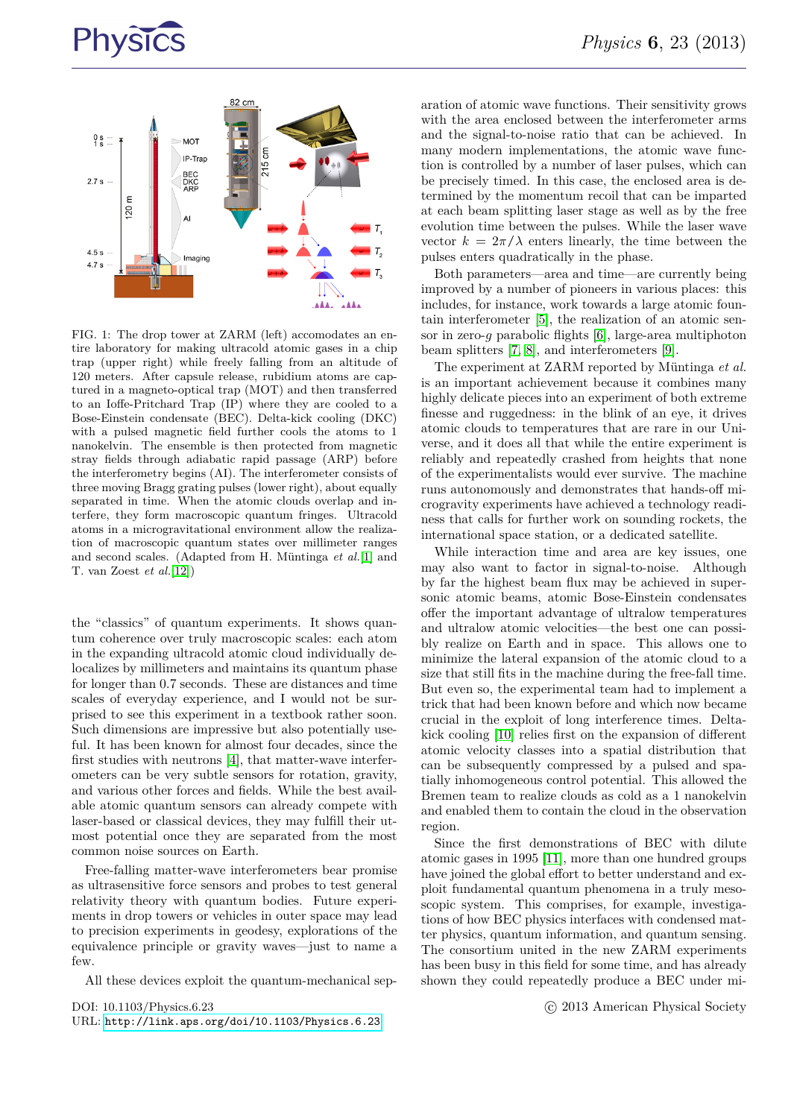



<span id="page-1-0"></span>FIG. 1: The drop tower at ZARM (left) accomodates an entire laboratory for making ultracold atomic gases in a chip trap (upper right) while freely falling from an altitude of 120 meters. After capsule release, rubidium atoms are captured in a magneto-optical trap (MOT) and then transferred to an Ioffe-Pritchard Trap (IP) where they are cooled to a Bose-Einstein condensate (BEC). Delta-kick cooling (DKC) with a pulsed magnetic field further cools the atoms to 1 nanokelvin. The ensemble is then protected from magnetic stray fields through adiabatic rapid passage (ARP) before the interferometry begins (AI). The interferometer consists of three moving Bragg grating pulses (lower right), about equally separated in time. When the atomic clouds overlap and interfere, they form macroscopic quantum fringes. Ultracold atoms in a microgravitational environment allow the realization of macroscopic quantum states over millimeter ranges and second scales. (Adapted from H. Müntinga *et al.*[\[1\]](#page-2-0) and T. van Zoest *et al.*[\[12\]](#page-2-3))

the "classics" of quantum experiments. It shows quantum coherence over truly macroscopic scales: each atom in the expanding ultracold atomic cloud individually delocalizes by millimeters and maintains its quantum phase for longer than 0.7 seconds. These are distances and time scales of everyday experience, and I would not be surprised to see this experiment in a textbook rather soon. Such dimensions are impressive but also potentially useful. It has been known for almost four decades, since the first studies with neutrons [\[4\]](#page-2-4), that matter-wave interferometers can be very subtle sensors for rotation, gravity, and various other forces and fields. While the best available atomic quantum sensors can already compete with laser-based or classical devices, they may fulfill their utmost potential once they are separated from the most common noise sources on Earth.

Free-falling matter-wave interferometers bear promise as ultrasensitive force sensors and probes to test general relativity theory with quantum bodies. Future experiments in drop towers or vehicles in outer space may lead to precision experiments in geodesy, explorations of the equivalence principle or gravity waves—just to name a few.

All these devices exploit the quantum-mechanical sep-

DOI: 10.1103/Physics.6.23 URL: <http://link.aps.org/doi/10.1103/Physics.6.23> aration of atomic wave functions. Their sensitivity grows with the area enclosed between the interferometer arms and the signal-to-noise ratio that can be achieved. In many modern implementations, the atomic wave function is controlled by a number of laser pulses, which can be precisely timed. In this case, the enclosed area is determined by the momentum recoil that can be imparted at each beam splitting laser stage as well as by the free evolution time between the pulses. While the laser wave vector  $k = 2\pi/\lambda$  enters linearly, the time between the pulses enters quadratically in the phase.

Both parameters—area and time—are currently being improved by a number of pioneers in various places: this includes, for instance, work towards a large atomic fountain interferometer [\[5\]](#page-2-5), the realization of an atomic sensor in zero-*g* parabolic flights [\[6\]](#page-2-6), large-area multiphoton beam splitters [\[7,](#page-2-7) [8\]](#page-2-8), and interferometers [\[9\]](#page-2-9).

The experiment at ZARM reported by Müntinga *et al.* is an important achievement because it combines many highly delicate pieces into an experiment of both extreme finesse and ruggedness: in the blink of an eye, it drives atomic clouds to temperatures that are rare in our Universe, and it does all that while the entire experiment is reliably and repeatedly crashed from heights that none of the experimentalists would ever survive. The machine runs autonomously and demonstrates that hands-off microgravity experiments have achieved a technology readiness that calls for further work on sounding rockets, the international space station, or a dedicated satellite.

While interaction time and area are key issues, one may also want to factor in signal-to-noise. Although by far the highest beam flux may be achieved in supersonic atomic beams, atomic Bose-Einstein condensates offer the important advantage of ultralow temperatures and ultralow atomic velocities—the best one can possibly realize on Earth and in space. This allows one to minimize the lateral expansion of the atomic cloud to a size that still fits in the machine during the free-fall time. But even so, the experimental team had to implement a trick that had been known before and which now became crucial in the exploit of long interference times. Deltakick cooling [\[10\]](#page-2-10) relies first on the expansion of different atomic velocity classes into a spatial distribution that can be subsequently compressed by a pulsed and spatially inhomogeneous control potential. This allowed the Bremen team to realize clouds as cold as a 1 nanokelvin and enabled them to contain the cloud in the observation region.

Since the first demonstrations of BEC with dilute atomic gases in 1995 [\[11\]](#page-2-11), more than one hundred groups have joined the global effort to better understand and exploit fundamental quantum phenomena in a truly mesoscopic system. This comprises, for example, investigations of how BEC physics interfaces with condensed matter physics, quantum information, and quantum sensing. The consortium united in the new ZARM experiments has been busy in this field for some time, and has already shown they could repeatedly produce a BEC under mi-

c 2013 American Physical Society